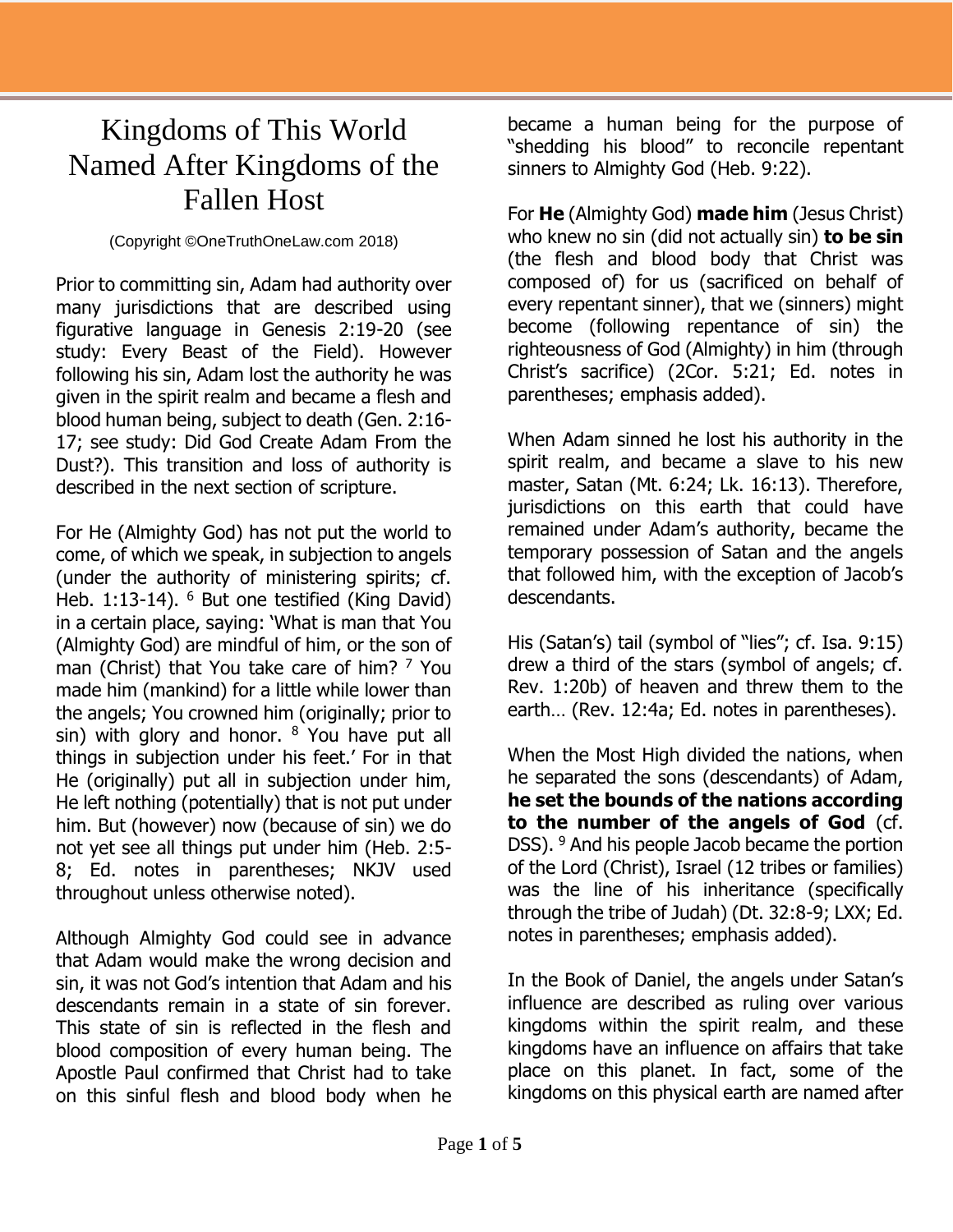## Kingdoms of This World Named After Kingdoms of the Fallen Host

(Copyright ©OneTruthOneLaw.com 2018)

Prior to committing sin, Adam had authority over many jurisdictions that are described using figurative language in Genesis 2:19-20 (see study: Every Beast of the Field). However following his sin, Adam lost the authority he was given in the spirit realm and became a flesh and blood human being, subject to death (Gen. 2:16- 17; see study: Did God Create Adam From the Dust?). This transition and loss of authority is described in the next section of scripture.

For He (Almighty God) has not put the world to come, of which we speak, in subjection to angels (under the authority of ministering spirits; cf. Heb. 1:13-14). <sup>6</sup> But one testified (King David) in a certain place, saying: 'What is man that You (Almighty God) are mindful of him, or the son of man (Christ) that You take care of him? <sup>7</sup> You made him (mankind) for a little while lower than the angels; You crowned him (originally; prior to sin) with glory and honor.  $8$  You have put all things in subjection under his feet.' For in that He (originally) put all in subjection under him, He left nothing (potentially) that is not put under him. But (however) now (because of sin) we do not yet see all things put under him (Heb. 2:5- 8; Ed. notes in parentheses; NKJV used throughout unless otherwise noted).

Although Almighty God could see in advance that Adam would make the wrong decision and sin, it was not God's intention that Adam and his descendants remain in a state of sin forever. This state of sin is reflected in the flesh and blood composition of every human being. The Apostle Paul confirmed that Christ had to take on this sinful flesh and blood body when he

became a human being for the purpose of "shedding his blood" to reconcile repentant sinners to Almighty God (Heb. 9:22).

For **He** (Almighty God) **made him** (Jesus Christ) who knew no sin (did not actually sin) **to be sin** (the flesh and blood body that Christ was composed of) for us (sacrificed on behalf of every repentant sinner), that we (sinners) might become (following repentance of sin) the righteousness of God (Almighty) in him (through Christ's sacrifice) (2Cor. 5:21; Ed. notes in parentheses; emphasis added).

When Adam sinned he lost his authority in the spirit realm, and became a slave to his new master, Satan (Mt. 6:24; Lk. 16:13). Therefore, jurisdictions on this earth that could have remained under Adam's authority, became the temporary possession of Satan and the angels that followed him, with the exception of Jacob's descendants.

His (Satan's) tail (symbol of "lies"; cf. Isa. 9:15) drew a third of the stars (symbol of angels; cf. Rev. 1:20b) of heaven and threw them to the earth… (Rev. 12:4a; Ed. notes in parentheses).

When the Most High divided the nations, when he separated the sons (descendants) of Adam, **he set the bounds of the nations according to the number of the angels of God** (cf. DSS). <sup>9</sup> And his people Jacob became the portion of the Lord (Christ), Israel (12 tribes or families) was the line of his inheritance (specifically through the tribe of Judah) (Dt. 32:8-9; LXX; Ed. notes in parentheses; emphasis added).

In the Book of Daniel, the angels under Satan's influence are described as ruling over various kingdoms within the spirit realm, and these kingdoms have an influence on affairs that take place on this planet. In fact, some of the kingdoms on this physical earth are named after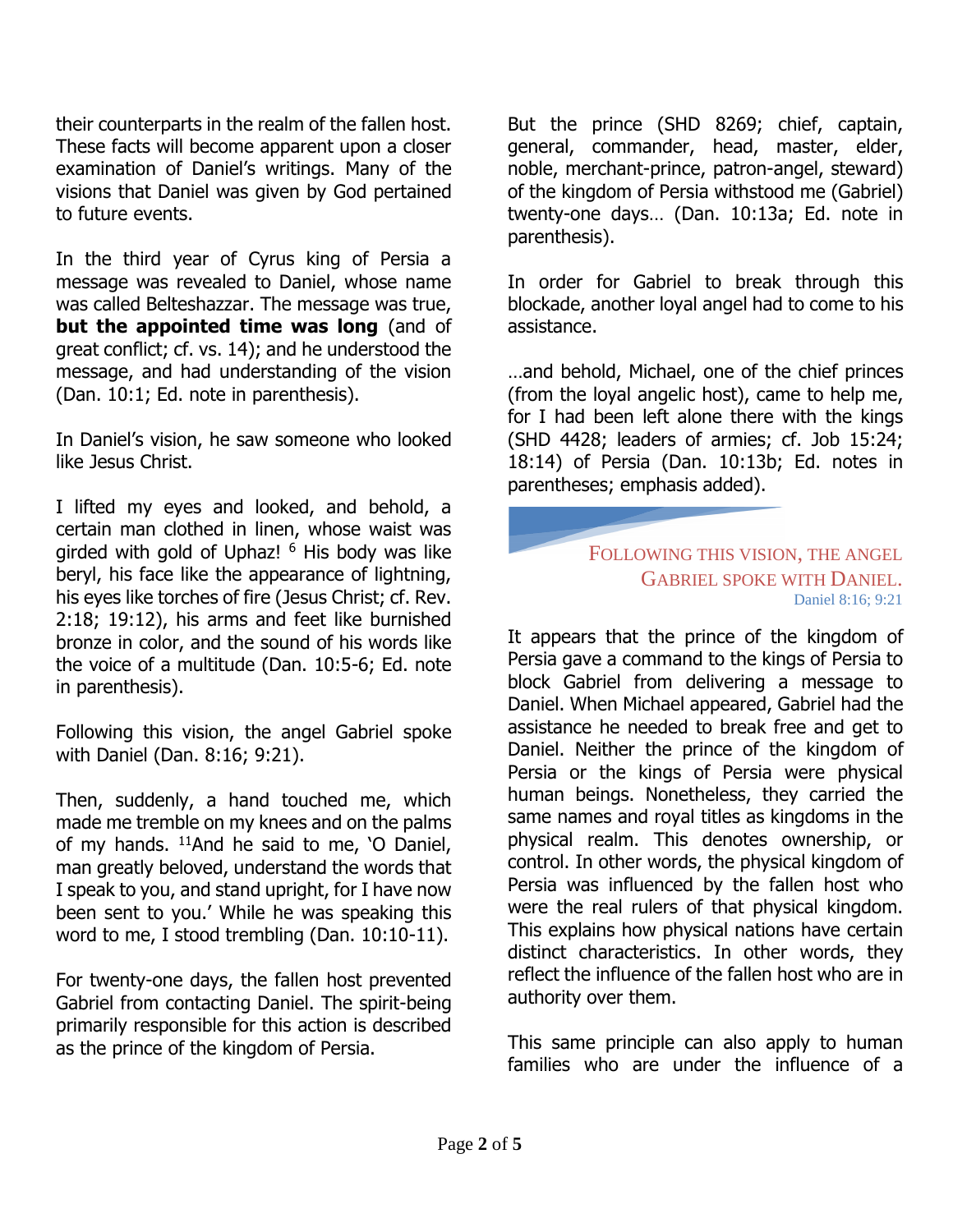their counterparts in the realm of the fallen host. These facts will become apparent upon a closer examination of Daniel's writings. Many of the visions that Daniel was given by God pertained to future events.

In the third year of Cyrus king of Persia a message was revealed to Daniel, whose name was called Belteshazzar. The message was true, **but the appointed time was long** (and of great conflict; cf. vs. 14); and he understood the message, and had understanding of the vision (Dan. 10:1; Ed. note in parenthesis).

In Daniel's vision, he saw someone who looked like Jesus Christ.

I lifted my eyes and looked, and behold, a certain man clothed in linen, whose waist was girded with gold of Uphaz! <sup>6</sup> His body was like beryl, his face like the appearance of lightning, his eyes like torches of fire (Jesus Christ; cf. Rev. 2:18; 19:12), his arms and feet like burnished bronze in color, and the sound of his words like the voice of a multitude (Dan. 10:5-6; Ed. note in parenthesis).

Following this vision, the angel Gabriel spoke with Daniel (Dan. 8:16; 9:21).

Then, suddenly, a hand touched me, which made me tremble on my knees and on the palms of my hands.  $^{11}$ And he said to me, 'O Daniel, man greatly beloved, understand the words that I speak to you, and stand upright, for I have now been sent to you.' While he was speaking this word to me, I stood trembling (Dan. 10:10-11).

For twenty-one days, the fallen host prevented Gabriel from contacting Daniel. The spirit-being primarily responsible for this action is described as the prince of the kingdom of Persia.

But the prince (SHD 8269; chief, captain, general, commander, head, master, elder, noble, merchant-prince, patron-angel, steward) of the kingdom of Persia withstood me (Gabriel) twenty-one days… (Dan. 10:13a; Ed. note in parenthesis).

In order for Gabriel to break through this blockade, another loyal angel had to come to his assistance.

…and behold, Michael, one of the chief princes (from the loyal angelic host), came to help me, for I had been left alone there with the kings (SHD 4428; leaders of armies; cf. Job 15:24; 18:14) of Persia (Dan. 10:13b; Ed. notes in parentheses; emphasis added).

## FOLLOWING THIS VISION, THE ANGEL GABRIEL SPOKE WITH DANIEL. Daniel 8:16; 9:21

It appears that the prince of the kingdom of Persia gave a command to the kings of Persia to block Gabriel from delivering a message to Daniel. When Michael appeared, Gabriel had the assistance he needed to break free and get to Daniel. Neither the prince of the kingdom of Persia or the kings of Persia were physical human beings. Nonetheless, they carried the same names and royal titles as kingdoms in the physical realm. This denotes ownership, or control. In other words, the physical kingdom of Persia was influenced by the fallen host who were the real rulers of that physical kingdom. This explains how physical nations have certain distinct characteristics. In other words, they reflect the influence of the fallen host who are in authority over them.

This same principle can also apply to human families who are under the influence of a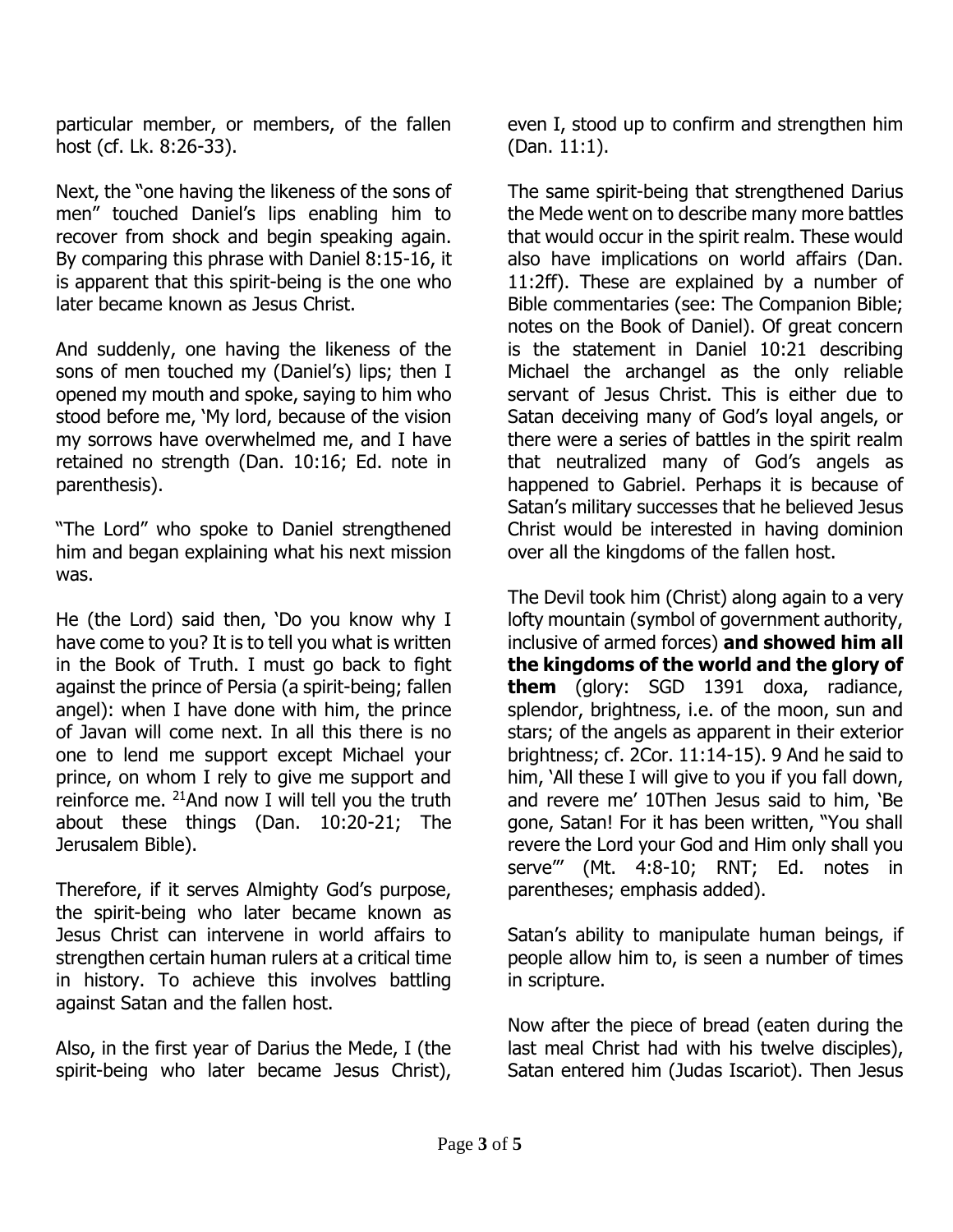particular member, or members, of the fallen host (cf. Lk. 8:26-33).

Next, the "one having the likeness of the sons of men" touched Daniel's lips enabling him to recover from shock and begin speaking again. By comparing this phrase with Daniel 8:15-16, it is apparent that this spirit-being is the one who later became known as Jesus Christ.

And suddenly, one having the likeness of the sons of men touched my (Daniel's) lips; then I opened my mouth and spoke, saying to him who stood before me, 'My lord, because of the vision my sorrows have overwhelmed me, and I have retained no strength (Dan. 10:16; Ed. note in parenthesis).

"The Lord" who spoke to Daniel strengthened him and began explaining what his next mission was.

He (the Lord) said then, 'Do you know why I have come to you? It is to tell you what is written in the Book of Truth. I must go back to fight against the prince of Persia (a spirit-being; fallen angel): when I have done with him, the prince of Javan will come next. In all this there is no one to lend me support except Michael your prince, on whom I rely to give me support and reinforce me.  $21$ And now I will tell you the truth about these things (Dan. 10:20-21; The Jerusalem Bible).

Therefore, if it serves Almighty God's purpose, the spirit-being who later became known as Jesus Christ can intervene in world affairs to strengthen certain human rulers at a critical time in history. To achieve this involves battling against Satan and the fallen host.

Also, in the first year of Darius the Mede, I (the spirit-being who later became Jesus Christ),

even I, stood up to confirm and strengthen him (Dan. 11:1).

The same spirit-being that strengthened Darius the Mede went on to describe many more battles that would occur in the spirit realm. These would also have implications on world affairs (Dan. 11:2ff). These are explained by a number of Bible commentaries (see: The Companion Bible; notes on the Book of Daniel). Of great concern is the statement in Daniel 10:21 describing Michael the archangel as the only reliable servant of Jesus Christ. This is either due to Satan deceiving many of God's loyal angels, or there were a series of battles in the spirit realm that neutralized many of God's angels as happened to Gabriel. Perhaps it is because of Satan's military successes that he believed Jesus Christ would be interested in having dominion over all the kingdoms of the fallen host.

The Devil took him (Christ) along again to a very lofty mountain (symbol of government authority, inclusive of armed forces) **and showed him all the kingdoms of the world and the glory of them** (glory: SGD 1391 doxa, radiance, splendor, brightness, i.e. of the moon, sun and stars; of the angels as apparent in their exterior brightness; cf. 2Cor. 11:14-15). 9 And he said to him, 'All these I will give to you if you fall down, and revere me' 10Then Jesus said to him, 'Be gone, Satan! For it has been written, "You shall revere the Lord your God and Him only shall you serve"' (Mt. 4:8-10; RNT; Ed. notes in parentheses; emphasis added).

Satan's ability to manipulate human beings, if people allow him to, is seen a number of times in scripture.

Now after the piece of bread (eaten during the last meal Christ had with his twelve disciples), Satan entered him (Judas Iscariot). Then Jesus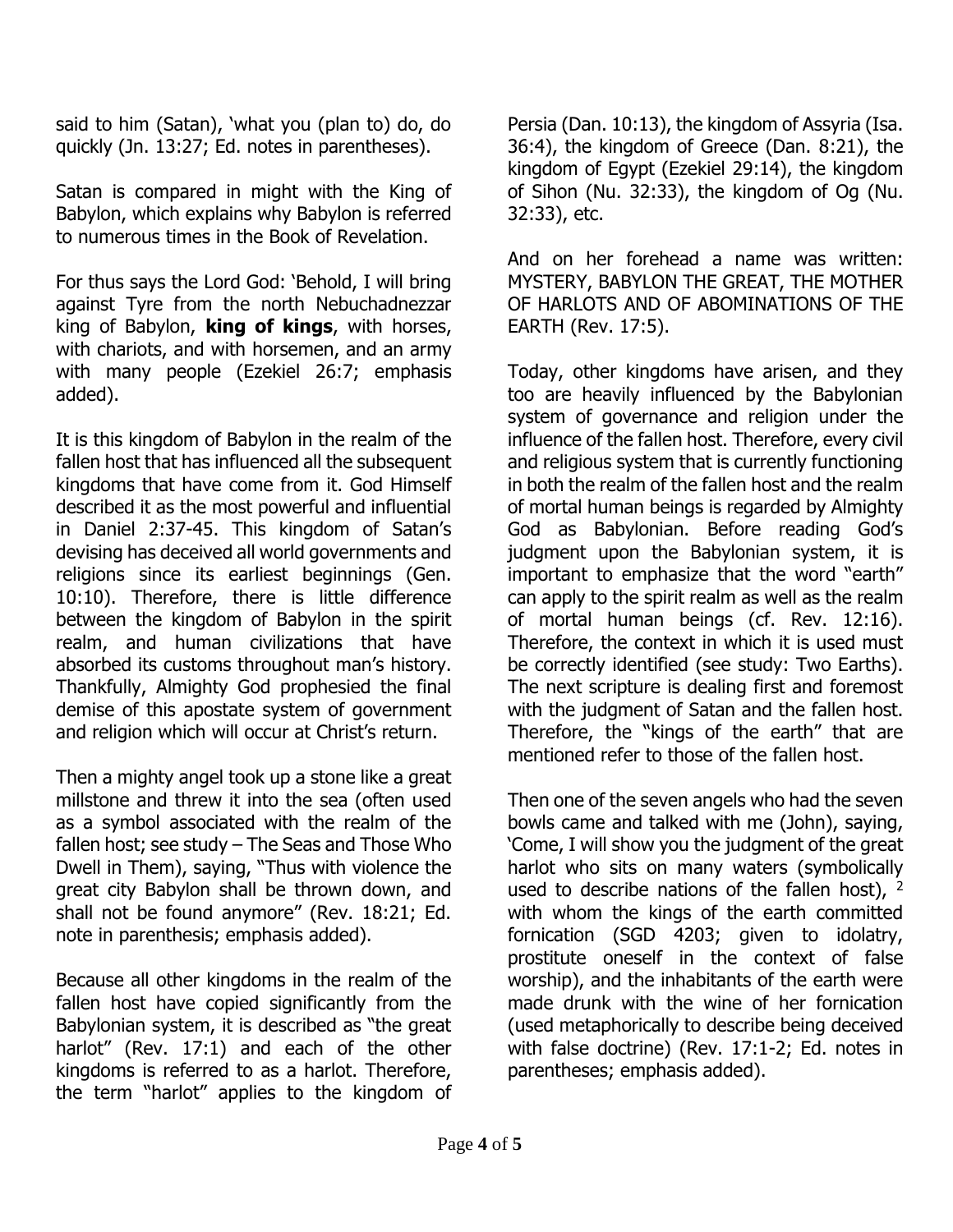said to him (Satan), 'what you (plan to) do, do quickly (Jn. 13:27; Ed. notes in parentheses).

Satan is compared in might with the King of Babylon, which explains why Babylon is referred to numerous times in the Book of Revelation.

For thus says the Lord God: 'Behold, I will bring against Tyre from the north Nebuchadnezzar king of Babylon, **king of kings**, with horses, with chariots, and with horsemen, and an army with many people (Ezekiel 26:7; emphasis added).

It is this kingdom of Babylon in the realm of the fallen host that has influenced all the subsequent kingdoms that have come from it. God Himself described it as the most powerful and influential in Daniel 2:37-45. This kingdom of Satan's devising has deceived all world governments and religions since its earliest beginnings (Gen. 10:10). Therefore, there is little difference between the kingdom of Babylon in the spirit realm, and human civilizations that have absorbed its customs throughout man's history. Thankfully, Almighty God prophesied the final demise of this apostate system of government and religion which will occur at Christ's return.

Then a mighty angel took up a stone like a great millstone and threw it into the sea (often used as a symbol associated with the realm of the fallen host; see study – The Seas and Those Who Dwell in Them), saying, "Thus with violence the great city Babylon shall be thrown down, and shall not be found anymore" (Rev. 18:21; Ed. note in parenthesis; emphasis added).

Because all other kingdoms in the realm of the fallen host have copied significantly from the Babylonian system, it is described as "the great harlot" (Rev. 17:1) and each of the other kingdoms is referred to as a harlot. Therefore, the term "harlot" applies to the kingdom of

Persia (Dan. 10:13), the kingdom of Assyria (Isa. 36:4), the kingdom of Greece (Dan. 8:21), the kingdom of Egypt (Ezekiel 29:14), the kingdom of Sihon (Nu. 32:33), the kingdom of Og (Nu. 32:33), etc.

And on her forehead a name was written: MYSTERY, BABYLON THE GREAT, THE MOTHER OF HARLOTS AND OF ABOMINATIONS OF THE EARTH (Rev. 17:5).

Today, other kingdoms have arisen, and they too are heavily influenced by the Babylonian system of governance and religion under the influence of the fallen host. Therefore, every civil and religious system that is currently functioning in both the realm of the fallen host and the realm of mortal human beings is regarded by Almighty God as Babylonian. Before reading God's judgment upon the Babylonian system, it is important to emphasize that the word "earth" can apply to the spirit realm as well as the realm of mortal human beings (cf. Rev. 12:16). Therefore, the context in which it is used must be correctly identified (see study: Two Earths). The next scripture is dealing first and foremost with the judgment of Satan and the fallen host. Therefore, the "kings of the earth" that are mentioned refer to those of the fallen host.

Then one of the seven angels who had the seven bowls came and talked with me (John), saying, 'Come, I will show you the judgment of the great harlot who sits on many waters (symbolically used to describe nations of the fallen host),  $2$ with whom the kings of the earth committed fornication (SGD 4203; given to idolatry, prostitute oneself in the context of false worship), and the inhabitants of the earth were made drunk with the wine of her fornication (used metaphorically to describe being deceived with false doctrine) (Rev. 17:1-2; Ed. notes in parentheses; emphasis added).